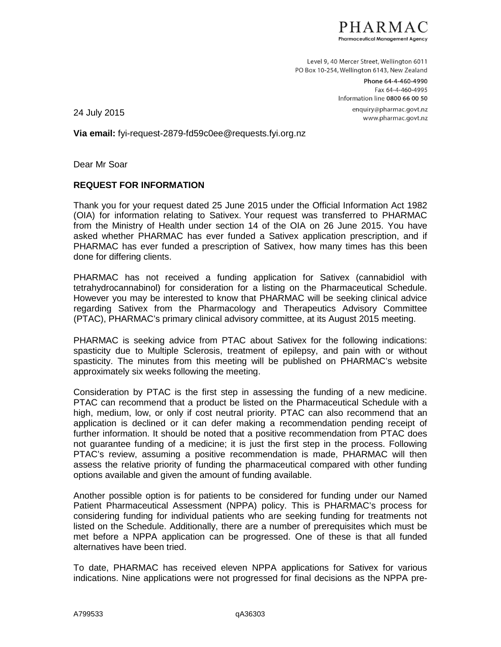

Level 9, 40 Mercer Street, Wellington 6011 PO Box 10-254. Wellington 6143, New Zealand

> Phone 64-4-460-4990 Fax 64-4-460-4995 Information line 0800 66 00 50 enquiry@pharmac.govt.nz www.pharmac.govt.nz

24 July 2015

**Via email:** fyi-request-2879-fd59c0ee@requests.fyi.org.nz

Dear Mr Soar

## **REQUEST FOR INFORMATION**

Thank you for your request dated 25 June 2015 under the Official Information Act 1982 (OIA) for information relating to Sativex. Your request was transferred to PHARMAC from the Ministry of Health under section 14 of the OIA on 26 June 2015. You have asked whether PHARMAC has ever funded a Sativex application prescription, and if PHARMAC has ever funded a prescription of Sativex, how many times has this been done for differing clients.

PHARMAC has not received a funding application for Sativex (cannabidiol with tetrahydrocannabinol) for consideration for a listing on the Pharmaceutical Schedule. However you may be interested to know that PHARMAC will be seeking clinical advice regarding Sativex from the Pharmacology and Therapeutics Advisory Committee (PTAC), PHARMAC's primary clinical advisory committee, at its August 2015 meeting.

PHARMAC is seeking advice from PTAC about Sativex for the following indications: spasticity due to Multiple Sclerosis, treatment of epilepsy, and pain with or without spasticity. The minutes from this meeting will be published on PHARMAC's website approximately six weeks following the meeting.

Consideration by PTAC is the first step in assessing the funding of a new medicine. PTAC can recommend that a product be listed on the Pharmaceutical Schedule with a high, medium, low, or only if cost neutral priority. PTAC can also recommend that an application is declined or it can defer making a recommendation pending receipt of further information. It should be noted that a positive recommendation from PTAC does not guarantee funding of a medicine; it is just the first step in the process. Following PTAC's review, assuming a positive recommendation is made, PHARMAC will then assess the relative priority of funding the pharmaceutical compared with other funding options available and given the amount of funding available.

Another possible option is for patients to be considered for funding under our Named Patient Pharmaceutical Assessment (NPPA) policy. This is PHARMAC's process for considering funding for individual patients who are seeking funding for treatments not listed on the Schedule. Additionally, there are a number of prerequisites which must be met before a NPPA application can be progressed. One of these is that all funded alternatives have been tried.

To date, PHARMAC has received eleven NPPA applications for Sativex for various indications. Nine applications were not progressed for final decisions as the NPPA pre